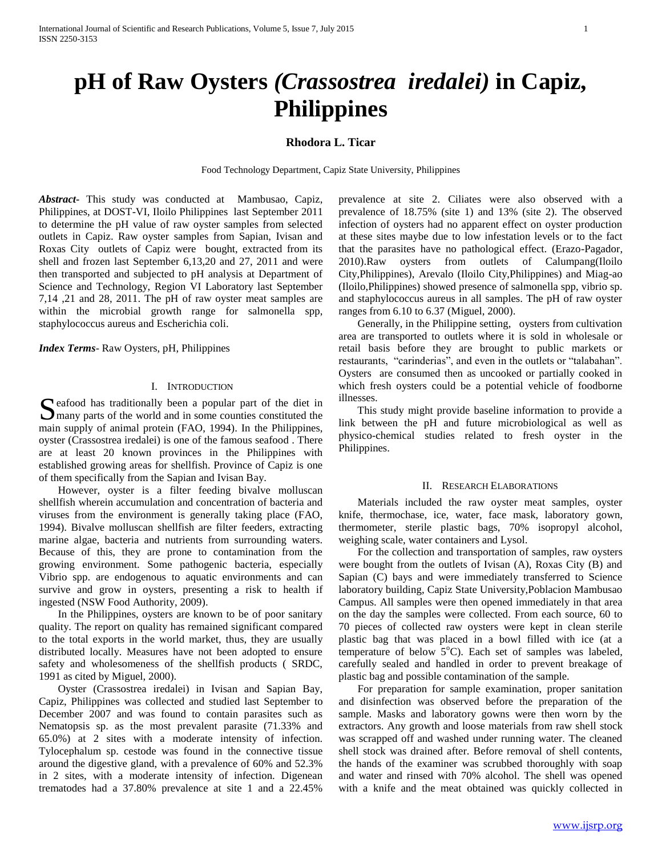# **pH of Raw Oysters** *(Crassostrea iredalei)* **in Capiz, Philippines**

## **Rhodora L. Ticar**

Food Technology Department, Capiz State University, Philippines

*Abstract***-** This study was conducted at Mambusao, Capiz, Philippines, at DOST-VI, Iloilo Philippines last September 2011 to determine the pH value of raw oyster samples from selected outlets in Capiz. Raw oyster samples from Sapian, Ivisan and Roxas City outlets of Capiz were bought, extracted from its shell and frozen last September 6,13,20 and 27, 2011 and were then transported and subjected to pH analysis at Department of Science and Technology, Region VI Laboratory last September 7,14 ,21 and 28, 2011. The pH of raw oyster meat samples are within the microbial growth range for salmonella spp, staphylococcus aureus and Escherichia coli.

*Index Terms*- Raw Oysters, pH, Philippines

## I. INTRODUCTION

eafood has traditionally been a popular part of the diet in Seafood has traditionally been a popular part of the diet in many parts of the world and in some counties constituted the main supply of animal protein (FAO, 1994). In the Philippines, oyster (Crassostrea iredalei) is one of the famous seafood . There are at least 20 known provinces in the Philippines with established growing areas for shellfish. Province of Capiz is one of them specifically from the Sapian and Ivisan Bay.

 However, oyster is a filter feeding bivalve molluscan shellfish wherein accumulation and concentration of bacteria and viruses from the environment is generally taking place (FAO, 1994). Bivalve molluscan shellfish are filter feeders, extracting marine algae, bacteria and nutrients from surrounding waters. Because of this, they are prone to contamination from the growing environment. Some pathogenic bacteria, especially Vibrio spp. are endogenous to aquatic environments and can survive and grow in oysters, presenting a risk to health if ingested (NSW Food Authority, 2009).

 In the Philippines, oysters are known to be of poor sanitary quality. The report on quality has remained significant compared to the total exports in the world market, thus, they are usually distributed locally. Measures have not been adopted to ensure safety and wholesomeness of the shellfish products ( SRDC, 1991 as cited by Miguel, 2000).

 Oyster (Crassostrea iredalei) in Ivisan and Sapian Bay, Capiz, Philippines was collected and studied last September to December 2007 and was found to contain parasites such as Nematopsis sp. as the most prevalent parasite (71.33% and 65.0%) at 2 sites with a moderate intensity of infection. Tylocephalum sp. cestode was found in the connective tissue around the digestive gland, with a prevalence of 60% and 52.3% in 2 sites, with a moderate intensity of infection. Digenean trematodes had a 37.80% prevalence at site 1 and a 22.45%

prevalence at site 2. Ciliates were also observed with a prevalence of 18.75% (site 1) and 13% (site 2). The observed infection of oysters had no apparent effect on oyster production at these sites maybe due to low infestation levels or to the fact that the parasites have no pathological effect. (Erazo-Pagador, 2010).Raw oysters from outlets of Calumpang(Iloilo City,Philippines), Arevalo (Iloilo City,Philippines) and Miag-ao (Iloilo,Philippines) showed presence of salmonella spp, vibrio sp. and staphylococcus aureus in all samples. The pH of raw oyster ranges from 6.10 to 6.37 (Miguel, 2000).

 Generally, in the Philippine setting, oysters from cultivation area are transported to outlets where it is sold in wholesale or retail basis before they are brought to public markets or restaurants, "carinderias", and even in the outlets or "talabahan". Oysters are consumed then as uncooked or partially cooked in which fresh oysters could be a potential vehicle of foodborne illnesses.

 This study might provide baseline information to provide a link between the pH and future microbiological as well as physico-chemical studies related to fresh oyster in the Philippines.

### II. RESEARCH ELABORATIONS

 Materials included the raw oyster meat samples, oyster knife, thermochase, ice, water, face mask, laboratory gown, thermometer, sterile plastic bags, 70% isopropyl alcohol, weighing scale, water containers and Lysol.

 For the collection and transportation of samples, raw oysters were bought from the outlets of Ivisan (A), Roxas City (B) and Sapian (C) bays and were immediately transferred to Science laboratory building, Capiz State University,Poblacion Mambusao Campus. All samples were then opened immediately in that area on the day the samples were collected. From each source, 60 to 70 pieces of collected raw oysters were kept in clean sterile plastic bag that was placed in a bowl filled with ice (at a temperature of below  $5^{\circ}$ C). Each set of samples was labeled, carefully sealed and handled in order to prevent breakage of plastic bag and possible contamination of the sample.

 For preparation for sample examination, proper sanitation and disinfection was observed before the preparation of the sample. Masks and laboratory gowns were then worn by the extractors. Any growth and loose materials from raw shell stock was scrapped off and washed under running water. The cleaned shell stock was drained after. Before removal of shell contents, the hands of the examiner was scrubbed thoroughly with soap and water and rinsed with 70% alcohol. The shell was opened with a knife and the meat obtained was quickly collected in